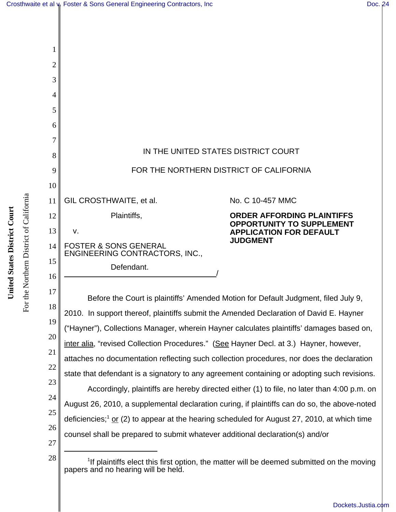

| 1              |                                                                                                         |                                                                       |
|----------------|---------------------------------------------------------------------------------------------------------|-----------------------------------------------------------------------|
| $\overline{2}$ |                                                                                                         |                                                                       |
| 3              |                                                                                                         |                                                                       |
| 4              |                                                                                                         |                                                                       |
| 5              |                                                                                                         |                                                                       |
| 6              |                                                                                                         |                                                                       |
|                | IN THE UNITED STATES DISTRICT COURT                                                                     |                                                                       |
| 8              |                                                                                                         |                                                                       |
| 9              | FOR THE NORTHERN DISTRICT OF CALIFORNIA                                                                 |                                                                       |
| 10             |                                                                                                         |                                                                       |
| 11             | GIL CROSTHWAITE, et al.                                                                                 | No. C 10-457 MMC                                                      |
| 12             | Plaintiffs,                                                                                             | <b>ORDER AFFORDING PLAINTIFFS</b><br><b>OPPORTUNITY TO SUPPLEMENT</b> |
| 13             | v.                                                                                                      | <b>APPLICATION FOR DEFAULT</b><br><b>JUDGMENT</b>                     |
| 14             | <b>FOSTER &amp; SONS GENERAL</b><br>ENGINEERING CONTRACTORS, INC.,                                      |                                                                       |
| 15             | Defendant.                                                                                              |                                                                       |
| 16             |                                                                                                         |                                                                       |
| 17             | Before the Court is plaintiffs' Amended Motion for Default Judgment, filed July 9,                      |                                                                       |
| 18<br>19       | 2010. In support thereof, plaintiffs submit the Amended Declaration of David E. Hayner                  |                                                                       |
| 20             | ("Hayner"), Collections Manager, wherein Hayner calculates plaintiffs' damages based on,                |                                                                       |
| 21             | inter alia, "revised Collection Procedures." (See Hayner Decl. at 3.) Hayner, however,                  |                                                                       |
| 22             | attaches no documentation reflecting such collection procedures, nor does the declaration               |                                                                       |
| 23             | state that defendant is a signatory to any agreement containing or adopting such revisions.             |                                                                       |
| 24             | Accordingly, plaintiffs are hereby directed either (1) to file, no later than 4:00 p.m. on              |                                                                       |
| 25             | August 26, 2010, a supplemental declaration curing, if plaintiffs can do so, the above-noted            |                                                                       |
| 26             | deficiencies; <sup>1</sup> or (2) to appear at the hearing scheduled for August 27, 2010, at which time |                                                                       |
| 27             | counsel shall be prepared to submit whatever additional declaration(s) and/or                           |                                                                       |
|                |                                                                                                         |                                                                       |

 $28$   $\parallel$   $\parallel$   $\parallel$   $\parallel$  1If plaintiffs elect this first option, the matter will be deemed submitted on the moving papers and no hearing will be held.